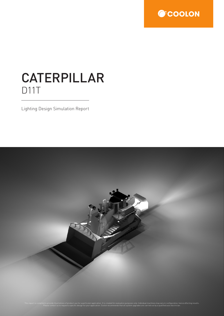

## CATERPILLAR D11T

Lighting Design Simulation Report

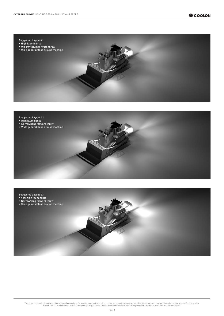





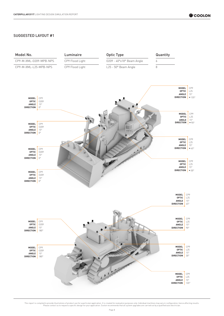## SUGGESTED LAYOUT #1

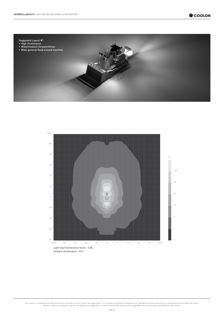



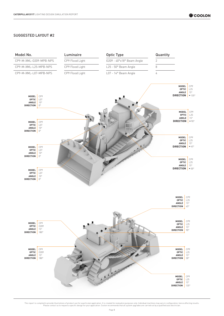## SUGGESTED LAYOUT #2

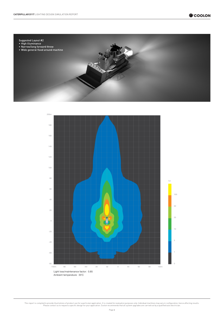



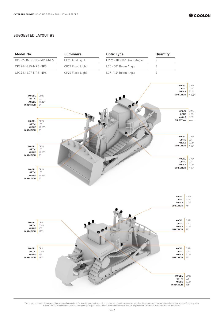## SUGGESTED LAYOUT #3